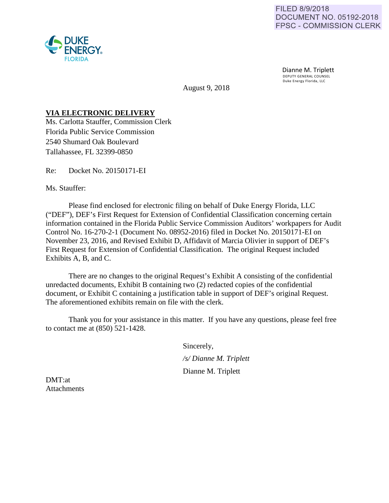



FRGY.

August 9, 2018

## **VIA ELECTRONIC DELIVERY**

Ms. Carlotta Stauffer, Commission Clerk Florida Public Service Commission 2540 Shumard Oak Boulevard Tallahassee, FL 32399-0850

Re: Docket No. 20150171-EI

Ms. Stauffer:

 Please find enclosed for electronic filing on behalf of Duke Energy Florida, LLC ("DEF"), DEF's First Request for Extension of Confidential Classification concerning certain information contained in the Florida Public Service Commission Auditors' workpapers for Audit Control No. 16-270-2-1 (Document No. 08952-2016) filed in Docket No. 20150171-EI on November 23, 2016, and Revised Exhibit D, Affidavit of Marcia Olivier in support of DEF's First Request for Extension of Confidential Classification. The original Request included Exhibits A, B, and C.

There are no changes to the original Request's Exhibit A consisting of the confidential unredacted documents, Exhibit B containing two (2) redacted copies of the confidential document, or Exhibit C containing a justification table in support of DEF's original Request. The aforementioned exhibits remain on file with the clerk.

 Thank you for your assistance in this matter. If you have any questions, please feel free to contact me at (850) 521-1428.

Sincerely,

*/s/ Dianne M. Triplett* 

Dianne M. Triplett

DMT:at **Attachments**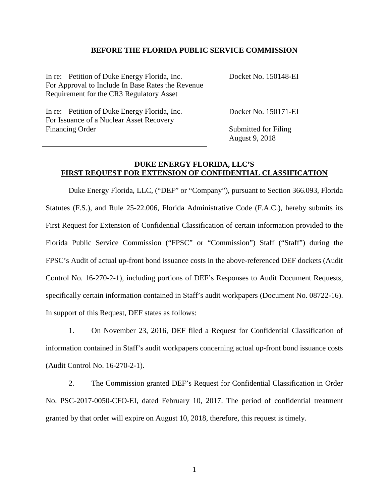### **BEFORE THE FLORIDA PUBLIC SERVICE COMMISSION**

| In re: Petition of Duke Energy Florida, Inc.<br>For Approval to Include In Base Rates the Revenue<br>Requirement for the CR3 Regulatory Asset | Docket No. 150148-EI |
|-----------------------------------------------------------------------------------------------------------------------------------------------|----------------------|
| In re: Petition of Duke Energy Florida, Inc.<br>For Issuance of a Nuclear Asset Recovery                                                      | Docket No. 150171-EI |

Financing Order

Submitted for Filing August 9, 2018

## **DUKE ENERGY FLORIDA, LLC'S FIRST REQUEST FOR EXTENSION OF CONFIDENTIAL CLASSIFICATION**

Duke Energy Florida, LLC, ("DEF" or "Company"), pursuant to Section 366.093, Florida Statutes (F.S.), and Rule 25-22.006, Florida Administrative Code (F.A.C.), hereby submits its First Request for Extension of Confidential Classification of certain information provided to the Florida Public Service Commission ("FPSC" or "Commission") Staff ("Staff") during the FPSC's Audit of actual up-front bond issuance costs in the above-referenced DEF dockets (Audit Control No. 16-270-2-1), including portions of DEF's Responses to Audit Document Requests, specifically certain information contained in Staff's audit workpapers (Document No. 08722-16). In support of this Request, DEF states as follows:

1. On November 23, 2016, DEF filed a Request for Confidential Classification of information contained in Staff's audit workpapers concerning actual up-front bond issuance costs (Audit Control No. 16-270-2-1).

2. The Commission granted DEF's Request for Confidential Classification in Order No. PSC-2017-0050-CFO-EI, dated February 10, 2017. The period of confidential treatment granted by that order will expire on August 10, 2018, therefore, this request is timely.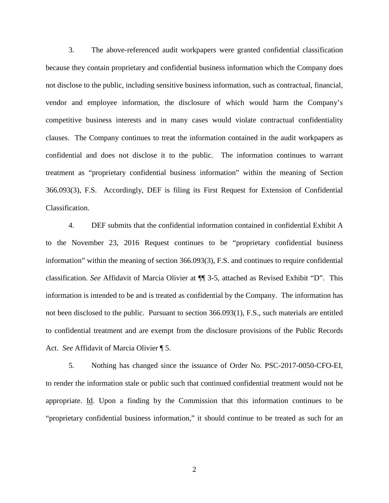3. The above-referenced audit workpapers were granted confidential classification because they contain proprietary and confidential business information which the Company does not disclose to the public, including sensitive business information, such as contractual, financial, vendor and employee information, the disclosure of which would harm the Company's competitive business interests and in many cases would violate contractual confidentiality clauses. The Company continues to treat the information contained in the audit workpapers as confidential and does not disclose it to the public. The information continues to warrant treatment as "proprietary confidential business information" within the meaning of Section 366.093(3), F.S. Accordingly, DEF is filing its First Request for Extension of Confidential Classification.

4. DEF submits that the confidential information contained in confidential Exhibit A to the November 23, 2016 Request continues to be "proprietary confidential business information" within the meaning of section 366.093(3), F.S. and continues to require confidential classification. *See* Affidavit of Marcia Olivier at ¶¶ 3-5, attached as Revised Exhibit "D". This information is intended to be and is treated as confidential by the Company. The information has not been disclosed to the public. Pursuant to section 366.093(1), F.S., such materials are entitled to confidential treatment and are exempt from the disclosure provisions of the Public Records Act. *See* Affidavit of Marcia Olivier ¶ 5.

 5. Nothing has changed since the issuance of Order No. PSC-2017-0050-CFO-EI, to render the information stale or public such that continued confidential treatment would not be appropriate. Id. Upon a finding by the Commission that this information continues to be "proprietary confidential business information," it should continue to be treated as such for an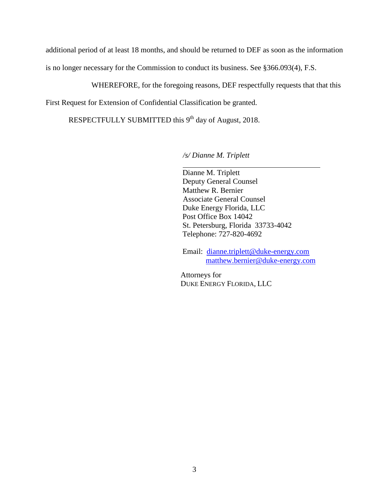additional period of at least 18 months, and should be returned to DEF as soon as the information is no longer necessary for the Commission to conduct its business. See §366.093(4), F.S.

WHEREFORE, for the foregoing reasons, DEF respectfully requests that that this

First Request for Extension of Confidential Classification be granted.

RESPECTFULLY SUBMITTED this 9<sup>th</sup> day of August, 2018.

*/s/ Dianne M. Triplett*

 Dianne M. Triplett Deputy General Counsel Matthew R. Bernier Associate General Counsel Duke Energy Florida, LLC Post Office Box 14042 St. Petersburg, Florida 33733-4042 Telephone: 727-820-4692

 Email: dianne.triplett@duke-energy.com matthew.bernier@duke-energy.com

Attorneys for DUKE ENERGY FLORIDA, LLC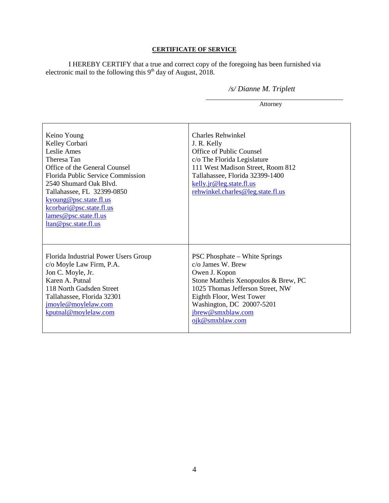## **CERTIFICATE OF SERVICE**

I HEREBY CERTIFY that a true and correct copy of the foregoing has been furnished via electronic mail to the following this  $9<sup>th</sup>$  day of August, 2018.

## */s/ Dianne M. Triplett*

Attorney

| Keino Young<br>Kelley Corbari<br>Leslie Ames<br>Theresa Tan<br>Office of the General Counsel<br>Florida Public Service Commission<br>2540 Shumard Oak Blvd.<br>Tallahassee, FL 32399-0850<br>kyoung@psc.state.fl.us<br>kcorbari@psc.state.fl.us<br>lames@psc.state.fl.us<br>ltan@psc.state.fl.us | <b>Charles Rehwinkel</b><br>J. R. Kelly<br>Office of Public Counsel<br>c/o The Florida Legislature<br>111 West Madison Street, Room 812<br>Tallahassee, Florida 32399-1400<br>kelly.jr@leg.state.fl.us<br>rehwinkel.charles@leg.state.fl.us                    |
|--------------------------------------------------------------------------------------------------------------------------------------------------------------------------------------------------------------------------------------------------------------------------------------------------|----------------------------------------------------------------------------------------------------------------------------------------------------------------------------------------------------------------------------------------------------------------|
| Florida Industrial Power Users Group<br>c/o Moyle Law Firm, P.A.<br>Jon C. Moyle, Jr.<br>Karen A. Putnal<br>118 North Gadsden Street<br>Tallahassee, Florida 32301<br>jmoyle@moylelaw.com<br>kputnal@moylelaw.com                                                                                | <b>PSC Phosphate – White Springs</b><br>$c/\sigma$ James W. Brew<br>Owen J. Kopon<br>Stone Mattheis Xenopoulos & Brew, PC<br>1025 Thomas Jefferson Street, NW<br>Eighth Floor, West Tower<br>Washington, DC 20007-5201<br>jbrew@smxblaw.com<br>ojk@smxblaw.com |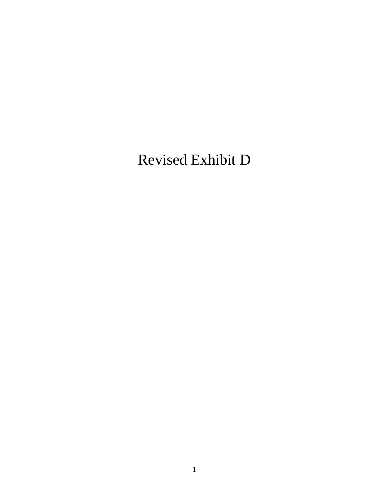# Revised Exhibit D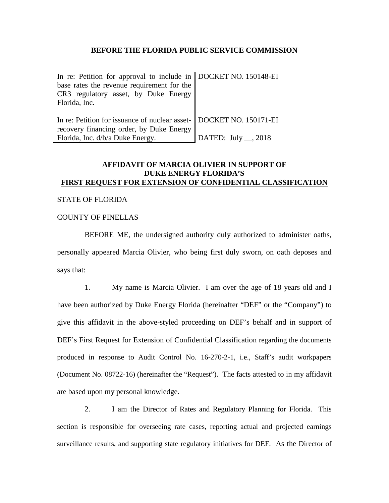#### **BEFORE THE FLORIDA PUBLIC SERVICE COMMISSION**

| In re: Petition for approval to include in    DOCKET NO. 150148-EI    |                           |
|-----------------------------------------------------------------------|---------------------------|
| base rates the revenue requirement for the                            |                           |
| CR3 regulatory asset, by Duke Energy                                  |                           |
| Florida, Inc.                                                         |                           |
|                                                                       |                           |
| In re: Petition for issuance of nuclear asset-   DOCKET NO. 150171-EI |                           |
| recovery financing order, by Duke Energy                              |                           |
| Florida, Inc. d/b/a Duke Energy.                                      | DATED: July $\_\_$ , 2018 |

## **AFFIDAVIT OF MARCIA OLIVIER IN SUPPORT OF DUKE ENERGY FLORIDA'S FIRST REQUEST FOR EXTENSION OF CONFIDENTIAL CLASSIFICATION**

### STATE OF FLORIDA

### COUNTY OF PINELLAS

BEFORE ME, the undersigned authority duly authorized to administer oaths, personally appeared Marcia Olivier, who being first duly sworn, on oath deposes and says that:

 1. My name is Marcia Olivier. I am over the age of 18 years old and I have been authorized by Duke Energy Florida (hereinafter "DEF" or the "Company") to give this affidavit in the above-styled proceeding on DEF's behalf and in support of DEF's First Request for Extension of Confidential Classification regarding the documents produced in response to Audit Control No. 16-270-2-1, i.e., Staff's audit workpapers (Document No. 08722-16) (hereinafter the "Request"). The facts attested to in my affidavit are based upon my personal knowledge.

 2. I am the Director of Rates and Regulatory Planning for Florida. This section is responsible for overseeing rate cases, reporting actual and projected earnings surveillance results, and supporting state regulatory initiatives for DEF. As the Director of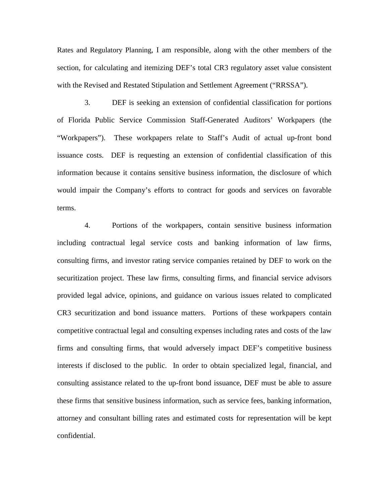Rates and Regulatory Planning, I am responsible, along with the other members of the section, for calculating and itemizing DEF's total CR3 regulatory asset value consistent with the Revised and Restated Stipulation and Settlement Agreement ("RRSSA").

 3. DEF is seeking an extension of confidential classification for portions of Florida Public Service Commission Staff-Generated Auditors' Workpapers (the "Workpapers"). These workpapers relate to Staff's Audit of actual up-front bond issuance costs. DEF is requesting an extension of confidential classification of this information because it contains sensitive business information, the disclosure of which would impair the Company's efforts to contract for goods and services on favorable terms.

 4. Portions of the workpapers, contain sensitive business information including contractual legal service costs and banking information of law firms, consulting firms, and investor rating service companies retained by DEF to work on the securitization project. These law firms, consulting firms, and financial service advisors provided legal advice, opinions, and guidance on various issues related to complicated CR3 securitization and bond issuance matters. Portions of these workpapers contain competitive contractual legal and consulting expenses including rates and costs of the law firms and consulting firms, that would adversely impact DEF's competitive business interests if disclosed to the public. In order to obtain specialized legal, financial, and consulting assistance related to the up-front bond issuance, DEF must be able to assure these firms that sensitive business information, such as service fees, banking information, attorney and consultant billing rates and estimated costs for representation will be kept confidential.